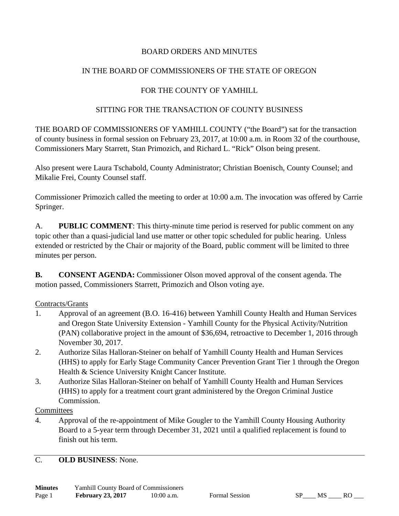## BOARD ORDERS AND MINUTES

## IN THE BOARD OF COMMISSIONERS OF THE STATE OF OREGON

## FOR THE COUNTY OF YAMHILL

### SITTING FOR THE TRANSACTION OF COUNTY BUSINESS

THE BOARD OF COMMISSIONERS OF YAMHILL COUNTY ("the Board") sat for the transaction of county business in formal session on February 23, 2017, at 10:00 a.m. in Room 32 of the courthouse, Commissioners Mary Starrett, Stan Primozich, and Richard L. "Rick" Olson being present.

Also present were Laura Tschabold, County Administrator; Christian Boenisch, County Counsel; and Mikalie Frei, County Counsel staff.

Commissioner Primozich called the meeting to order at 10:00 a.m. The invocation was offered by Carrie Springer.

A. **PUBLIC COMMENT**: This thirty-minute time period is reserved for public comment on any topic other than a quasi-judicial land use matter or other topic scheduled for public hearing. Unless extended or restricted by the Chair or majority of the Board, public comment will be limited to three minutes per person.

**B.** CONSENT AGENDA: Commissioner Olson moved approval of the consent agenda. The motion passed, Commissioners Starrett, Primozich and Olson voting aye.

#### Contracts/Grants

- 1. Approval of an agreement (B.O. 16-416) between Yamhill County Health and Human Services and Oregon State University Extension - Yamhill County for the Physical Activity/Nutrition (PAN) collaborative project in the amount of \$36,694, retroactive to December 1, 2016 through November 30, 2017.
- 2. Authorize Silas Halloran-Steiner on behalf of Yamhill County Health and Human Services (HHS) to apply for Early Stage Community Cancer Prevention Grant Tier 1 through the Oregon Health & Science University Knight Cancer Institute.
- 3. Authorize Silas Halloran-Steiner on behalf of Yamhill County Health and Human Services (HHS) to apply for a treatment court grant administered by the Oregon Criminal Justice Commission.

#### **Committees**

4. Approval of the re-appointment of Mike Gougler to the Yamhill County Housing Authority Board to a 5-year term through December 31, 2021 until a qualified replacement is found to finish out his term.

C. **OLD BUSINESS**: None.